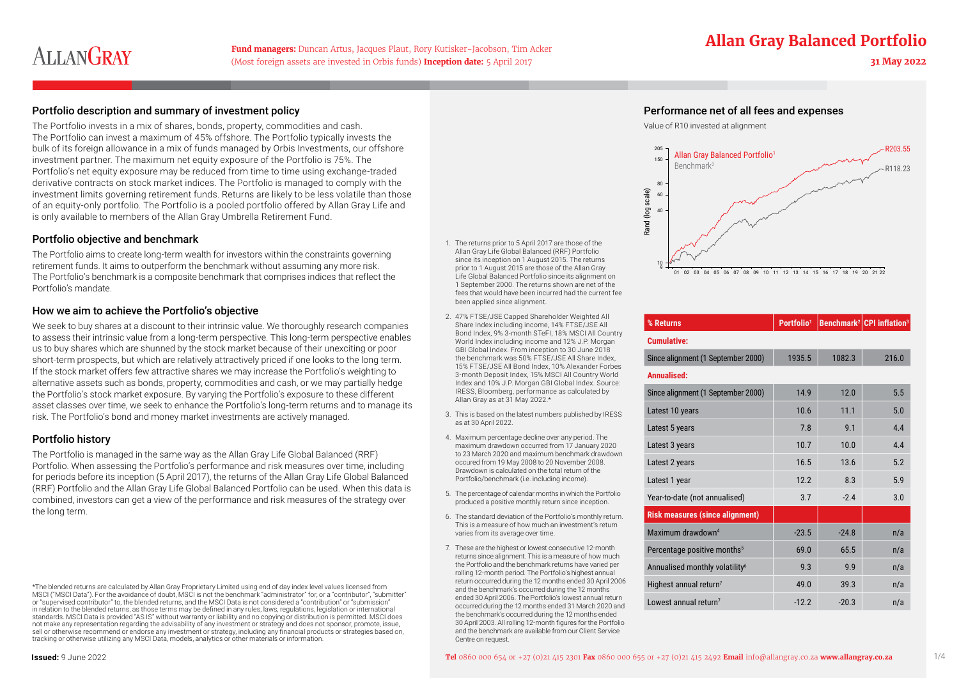# **ALLANGRAY**

(Most foreign assets are invested in Orbis funds) **Inception date:** 5 April 2017 **31 May 2022**

# **Fund managers:** Duncan Artus, Jacques Plaut, Rory Kutisker-Jacobson, Tim Acker **Allan Gray Balanced Portfolio**

### Portfolio description and summary of investment policy Performance net of all fees and expenses

The Portfolio invests in a mix of shares, bonds, property, commodities and cash. The Portfolio can invest a maximum of 45% offshore. The Portfolio typically invests the bulk of its foreign allowance in a mix of funds managed by Orbis Investments, our offshore investment partner. The maximum net equity exposure of the Portfolio is 75%. The Portfolio's net equity exposure may be reduced from time to time using exchange-traded derivative contracts on stock market indices. The Portfolio is managed to comply with the investment limits governing retirement funds. Returns are likely to be less volatile than those of an equity-only portfolio. The Portfolio is a pooled portfolio offered by Allan Gray Life and is only available to members of the Allan Gray Umbrella Retirement Fund.

#### Portfolio objective and benchmark

The Portfolio aims to create long-term wealth for investors within the constraints governing retirement funds. It aims to outperform the benchmark without assuming any more risk. The Portfolio's benchmark is a composite benchmark that comprises indices that reflect the Portfolio's mandate.

#### How we aim to achieve the Portfolio's objective

We seek to buy shares at a discount to their intrinsic value. We thoroughly research companies to assess their intrinsic value from a long-term perspective. This long-term perspective enables us to buy shares which are shunned by the stock market because of their unexciting or poor short-term prospects, but which are relatively attractively priced if one looks to the long term. If the stock market offers few attractive shares we may increase the Portfolio's weighting to alternative assets such as bonds, property, commodities and cash, or we may partially hedge the Portfolio's stock market exposure. By varying the Portfolio's exposure to these different asset classes over time, we seek to enhance the Portfolio's long-term returns and to manage its risk. The Portfolio's bond and money market investments are actively managed.

### Portfolio history

The Portfolio is managed in the same way as the Allan Gray Life Global Balanced (RRF) Portfolio. When assessing the Portfolio's performance and risk measures over time, including for periods before its inception (5 April 2017), the returns of the Allan Gray Life Global Balanced (RRF) Portfolio and the Allan Gray Life Global Balanced Portfolio can be used. When this data is combined, investors can get a view of the performance and risk measures of the strategy over the long term.

- 1. The returns prior to 5 April 2017 are those of the Allan Gray Life Global Balanced (RRF) Portfolio since its inception on 1 August 2015. The returns prior to 1 August 2015 are those of the Allan Gray Life Global Balanced Portfolio since its alignment on 1 September 2000. The returns shown are net of the fees that would have been incurred had the current fee been applied since alignment.
- 2. 47% FTSE/JSE Capped Shareholder Weighted All Share Index including income, 14% FTSE/JSE All Bond Index, 9% 3-month STeFI, 18% MSCI All Country World Index including income and 12% J.P. Morgan GBI Global Index. From inception to 30 June 2018 the benchmark was 50% FTSE/JSE All Share Index, 15% FTSE/JSE All Bond Index, 10% Alexander Forbes 3-month Deposit Index, 15% MSCI All Country World Index and 10% J.P. Morgan GBI Global Index. Source: IRESS, Bloomberg, performance as calculated by Allan Gray as at 31 May 2022.\*
- 3. This is based on the latest numbers published by IRESS as at 30 April 2022.
- 4. Maximum percentage decline over any period. The maximum drawdown occurred from 17 January 2020 to 23 March 2020 and maximum benchmark drawdown occured from 19 May 2008 to 20 November 2008. Drawdown is calculated on the total return of the Portfolio/benchmark (i.e. including income).
- 5. The percentage of calendar months in which the Portfolio produced a positive monthly return since inception.
- 6. The standard deviation of the Portfolio's monthly return. This is a measure of how much an investment's return varies from its average over time.
- 7. These are the highest or lowest consecutive 12-month returns since alignment. This is a measure of how much the Portfolio and the benchmark returns have varied per rolling 12-month period. The Portfolio's highest annual return occurred during the 12 months ended 30 April 2006 and the benchmark's occurred during the 12 months ended 30 April 2006. The Portfolio's lowest annual return occurred during the 12 months ended 31 March 2020 and the benchmark's occurred during the 12 months ended 30 April 2003. All rolling 12-month figures for the Portfolio and the benchmark are available from our Client Service Centre on request.





| % Returns                                  | Portfolio <sup>1</sup> |                | <b>Benchmark<sup>2</sup></b> CPI inflation <sup>3</sup> |  |  |  |
|--------------------------------------------|------------------------|----------------|---------------------------------------------------------|--|--|--|
| <b>Cumulative:</b>                         |                        |                |                                                         |  |  |  |
| Since alignment (1 September 2000)         | 1935.5                 | 1082.3         | 216.0                                                   |  |  |  |
| Annualised:                                |                        |                |                                                         |  |  |  |
| Since alignment (1 September 2000)         | 14.9                   | 12.0           | 5.5                                                     |  |  |  |
| Latest 10 years                            | 10.6                   | 111            | 5.0                                                     |  |  |  |
| Latest 5 years                             | 7.8                    | 9 <sub>1</sub> | 44                                                      |  |  |  |
| Latest 3 years                             | 10.7                   | 10.0           | 44                                                      |  |  |  |
| Latest 2 years                             | 16.5                   | 13.6           | 5.2                                                     |  |  |  |
| Latest 1 year                              | 12.2                   | 8.3            | 5.9                                                     |  |  |  |
| Year-to-date (not annualised)              | 3.7                    | $-2.4$         | 3.0                                                     |  |  |  |
| <b>Risk measures (since alignment)</b>     |                        |                |                                                         |  |  |  |
| Maximum drawdown <sup>4</sup>              | $-23.5$                | $-248$         | n/a                                                     |  |  |  |
| Percentage positive months <sup>5</sup>    | 690                    | 65.5           | n/a                                                     |  |  |  |
| Annualised monthly volatility <sup>6</sup> | 9.3                    | <b>99</b>      | n/a                                                     |  |  |  |
| Highest annual return <sup>7</sup>         | 49 0                   | 39.3           | n/a                                                     |  |  |  |
| Lowest annual return <sup>7</sup>          | $-12.2$                | $-20.3$        | n/a                                                     |  |  |  |

<sup>\*</sup>The blended returns are calculated by Allan Gray Proprietary Limited using end of day index level values licensed from MSCI ("MSCI Data"). For the avoidance of doubt, MSCI is not the benchmark "administrator" for, or a "contributor", "submitter"<br>or "supervised contributor" to, the blended returns, and the MSCI Data is not considered a "con in relation to the blended returns, as those terms may be defined in any rules, laws, regulations, legislation or international standards. MSCI Data is provided "AS IS" without warranty or liability and no copying or distribution is permitted. MSCI does not make any representation regarding the advisability of any investment or strategy and does not sponsor, promote, issue, sell or otherwise recommend or endorse any investment or strategy, including any financial products or strategies based on, tracking or otherwise utilizing any MSCI Data, models, analytics or other materials or information.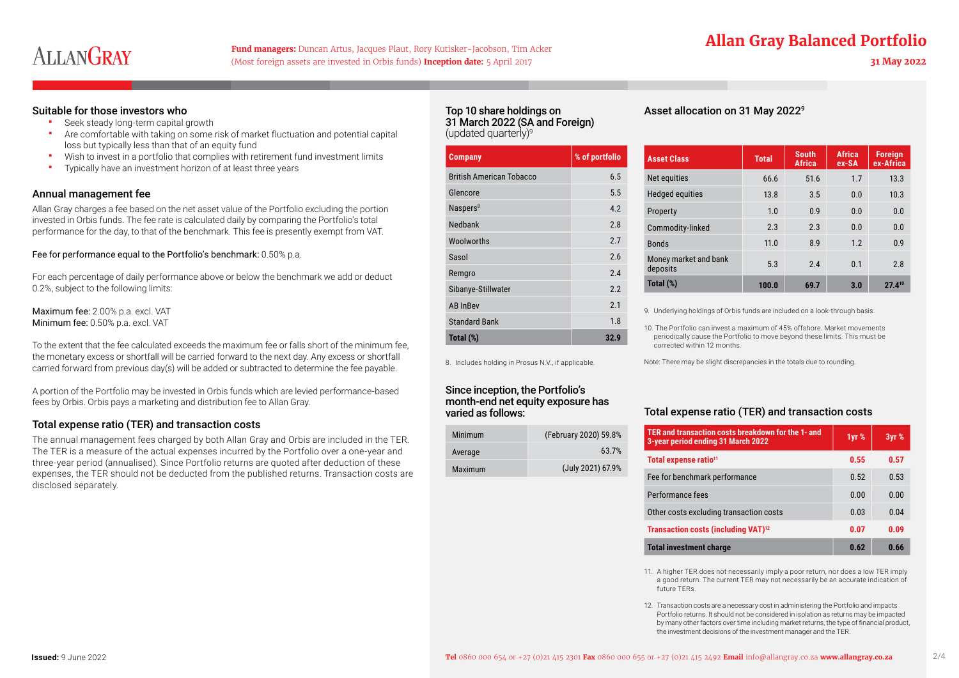# ALLANGRAY

(Most foreign assets are invested in Orbis funds) **Inception date:** 5 April 2017 **31 May 2022**

## **Fund managers:** Duncan Artus, Jacques Plaut, Rory Kutisker-Jacobson, Tim Acker **Allan Gray Balanced Portfolio**

#### Suitable for those investors who

- Seek steady long-term capital growth
- Are comfortable with taking on some risk of market fluctuation and potential capital loss but typically less than that of an equity fund
- Wish to invest in a portfolio that complies with retirement fund investment limits
- **Typically have an investment horizon of at least three years**

#### Annual management fee

Allan Gray charges a fee based on the net asset value of the Portfolio excluding the portion invested in Orbis funds. The fee rate is calculated daily by comparing the Portfolio's total performance for the day, to that of the benchmark. This fee is presently exempt from VAT.

#### Fee for performance equal to the Portfolio's benchmark: 0.50% p.a.

For each percentage of daily performance above or below the benchmark we add or deduct 0.2%, subject to the following limits:

Maximum fee: 2.00% p.a. excl. VAT Minimum fee: 0.50% p.a. excl. VAT

To the extent that the fee calculated exceeds the maximum fee or falls short of the minimum fee, the monetary excess or shortfall will be carried forward to the next day. Any excess or shortfall carried forward from previous day(s) will be added or subtracted to determine the fee payable.

A portion of the Portfolio may be invested in Orbis funds which are levied performance-based fees by Orbis. Orbis pays a marketing and distribution fee to Allan Gray.

#### Total expense ratio (TER) and transaction costs

The annual management fees charged by both Allan Gray and Orbis are included in the TER. The TER is a measure of the actual expenses incurred by the Portfolio over a one-year and three-year period (annualised). Since Portfolio returns are quoted after deduction of these expenses, the TER should not be deducted from the published returns. Transaction costs are disclosed separately.

#### Top 10 share holdings on 31 March 2022 (SA and Foreign) (updated quarterly) $9$

| <b>Company</b>                  | % of portfolio |
|---------------------------------|----------------|
| <b>British American Tobacco</b> | 6.5            |
| Glencore                        | 5 <sub>5</sub> |
| Naspers <sup>8</sup>            | 42             |
| Nedbank                         | 28             |
| Woolworths                      | 27             |
| Sasol                           | 26             |
| Remgro                          | 24             |
| Sibanye-Stillwater              | 22             |
| <b>AB InBev</b>                 | 21             |
| <b>Standard Bank</b>            | 1.8            |
| Total (%)                       | 32.9           |

8. Includes holding in Prosus N.V., if applicable.

Since inception, the Portfolio's month-end net equity exposure has

Minimum (February 2020) 59.8% Average 63.7% Maximum (July 2021) 67.9%

varied as follows:

Asset allocation on 31 May 20229

| <b>Asset Class</b>                | <b>Total</b> | <b>South</b><br><b>Africa</b> | <b>Africa</b><br>ex-SA | <b>Foreign</b><br>ex-Africa |
|-----------------------------------|--------------|-------------------------------|------------------------|-----------------------------|
| Net equities                      | 66.6         | 51.6                          | 1.7                    | 13.3                        |
| <b>Hedged equities</b>            | 13.8         | 3.5                           | 0 <sub>0</sub>         | 10.3                        |
| Property                          | 1.0          | 0.9                           | 0 <sub>0</sub>         | 0.0                         |
| Commodity-linked                  | 2.3          | 2.3                           | 0 <sub>0</sub>         | 0.0                         |
| <b>Bonds</b>                      | 11.0         | 8.9                           | 12                     | 0.9                         |
| Money market and bank<br>deposits | 5.3          | 24                            | 0.1                    | 2.8                         |
| Total (%)                         | 100.0        | 69.7                          | 3.0                    | $27.4^{10}$                 |

9. Underlying holdings of Orbis funds are included on a look-through basis.

10. The Portfolio can invest a maximum of 45% offshore. Market movements periodically cause the Portfolio to move beyond these limits. This must be corrected within 12 months.

Note: There may be slight discrepancies in the totals due to rounding.

#### Total expense ratio (TER) and transaction costs

| TER and transaction costs breakdown for the 1- and<br>3-year period ending 31 March 2022 | 1yr % | 3yr % |
|------------------------------------------------------------------------------------------|-------|-------|
| Total expense ratio <sup>11</sup>                                                        | 0.55  | 0.57  |
| Fee for benchmark performance                                                            | 0.52  | 0.53  |
| Performance fees                                                                         | 0.00  | 0.00  |
| Other costs excluding transaction costs                                                  | 0.03  | 0.04  |
| Transaction costs (including VAT) <sup>12</sup>                                          | 0.07  | 0.09  |
| Total investment charge                                                                  | 0.62  | 0.66  |

11. A higher TER does not necessarily imply a poor return, nor does a low TER imply a good return. The current TER may not necessarily be an accurate indication of future TERs.

12. Transaction costs are a necessary cost in administering the Portfolio and impacts Portfolio returns. It should not be considered in isolation as returns may be impacted by many other factors over time including market returns, the type of financial product, the investment decisions of the investment manager and the TER.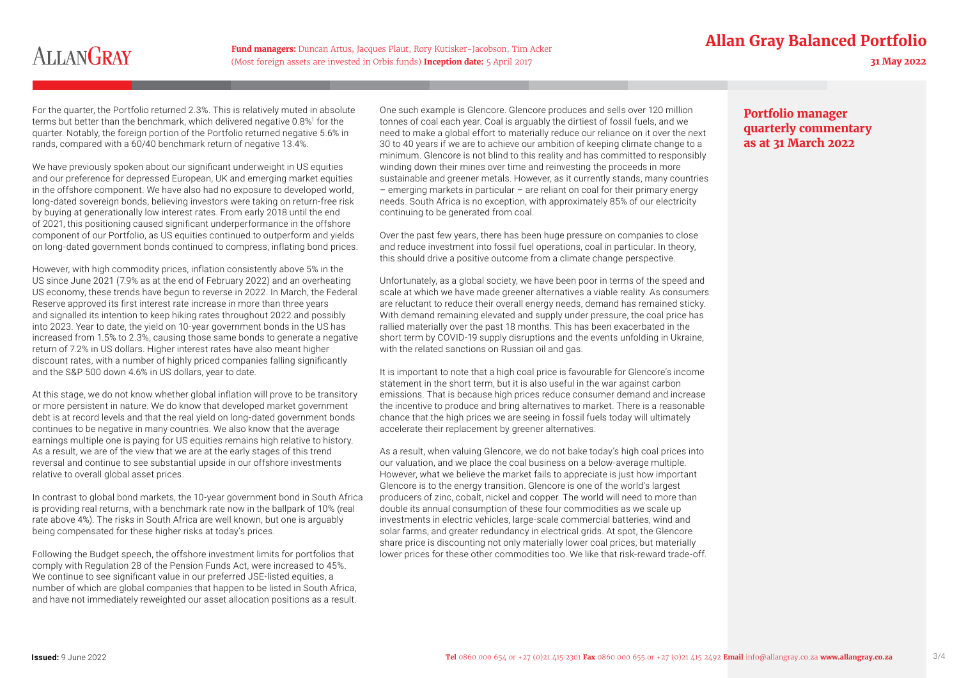# **Fund managers:** Duncan Artus, Jacques Plaut, Rory Kutisker-Jacobson, Tim Acker **Fund and Channel Allan Gray Balanced Portfolio**

# **ALLANGRAY**

(Most foreign assets are invested in Orbis funds) **Inception date:** 5 April 2017 **31 May 2022**

For the quarter, the Portfolio returned 2.3%. This is relatively muted in absolute terms but better than the benchmark, which delivered negative 0.8%<sup>1</sup> for the quarter. Notably, the foreign portion of the Portfolio returned negative 5.6% in rands, compared with a 60/40 benchmark return of negative 13.4%.

We have previously spoken about our significant underweight in US equities and our preference for depressed European, UK and emerging market equities in the offshore component. We have also had no exposure to developed world, long-dated sovereign bonds, believing investors were taking on return-free risk by buying at generationally low interest rates. From early 2018 until the end of 2021, this positioning caused significant underperformance in the offshore component of our Portfolio, as US equities continued to outperform and yields on long-dated government bonds continued to compress, inflating bond prices.

However, with high commodity prices, inflation consistently above 5% in the US since June 2021 (7.9% as at the end of February 2022) and an overheating US economy, these trends have begun to reverse in 2022. In March, the Federal Reserve approved its first interest rate increase in more than three years and signalled its intention to keep hiking rates throughout 2022 and possibly into 2023. Year to date, the yield on 10-year government bonds in the US has increased from 1.5% to 2.3%, causing those same bonds to generate a negative return of 7.2% in US dollars. Higher interest rates have also meant higher discount rates, with a number of highly priced companies falling significantly and the S&P 500 down 4.6% in US dollars, year to date.

At this stage, we do not know whether global inflation will prove to be transitory or more persistent in nature. We do know that developed market government debt is at record levels and that the real yield on long-dated government bonds continues to be negative in many countries. We also know that the average earnings multiple one is paying for US equities remains high relative to history. As a result, we are of the view that we are at the early stages of this trend reversal and continue to see substantial upside in our offshore investments relative to overall global asset prices.

In contrast to global bond markets, the 10-year government bond in South Africa is providing real returns, with a benchmark rate now in the ballpark of 10% (real rate above 4%). The risks in South Africa are well known, but one is arguably being compensated for these higher risks at today's prices.

Following the Budget speech, the offshore investment limits for portfolios that comply with Regulation 28 of the Pension Funds Act, were increased to 45%. We continue to see significant value in our preferred JSE-listed equities, a number of which are global companies that happen to be listed in South Africa, and have not immediately reweighted our asset allocation positions as a result.

One such example is Glencore. Glencore produces and sells over 120 million tonnes of coal each year. Coal is arguably the dirtiest of fossil fuels, and we need to make a global effort to materially reduce our reliance on it over the next 30 to 40 years if we are to achieve our ambition of keeping climate change to a minimum. Glencore is not blind to this reality and has committed to responsibly winding down their mines over time and reinvesting the proceeds in more sustainable and greener metals. However, as it currently stands, many countries – emerging markets in particular – are reliant on coal for their primary energy needs. South Africa is no exception, with approximately 85% of our electricity continuing to be generated from coal.

Over the past few years, there has been huge pressure on companies to close and reduce investment into fossil fuel operations, coal in particular. In theory, this should drive a positive outcome from a climate change perspective.

Unfortunately, as a global society, we have been poor in terms of the speed and scale at which we have made greener alternatives a viable reality. As consumers are reluctant to reduce their overall energy needs, demand has remained sticky. With demand remaining elevated and supply under pressure, the coal price has rallied materially over the past 18 months. This has been exacerbated in the short term by COVID-19 supply disruptions and the events unfolding in Ukraine, with the related sanctions on Russian oil and gas.

It is important to note that a high coal price is favourable for Glencore's income statement in the short term, but it is also useful in the war against carbon emissions. That is because high prices reduce consumer demand and increase the incentive to produce and bring alternatives to market. There is a reasonable chance that the high prices we are seeing in fossil fuels today will ultimately accelerate their replacement by greener alternatives.

As a result, when valuing Glencore, we do not bake today's high coal prices into our valuation, and we place the coal business on a below-average multiple. However, what we believe the market fails to appreciate is just how important Glencore is to the energy transition. Glencore is one of the world's largest producers of zinc, cobalt, nickel and copper. The world will need to more than double its annual consumption of these four commodities as we scale up investments in electric vehicles, large-scale commercial batteries, wind and solar farms, and greater redundancy in electrical grids. At spot, the Glencore share price is discounting not only materially lower coal prices, but materially lower prices for these other commodities too. We like that risk-reward trade-off.

### **Portfolio manager quarterly commentary as at 31 March 2022**